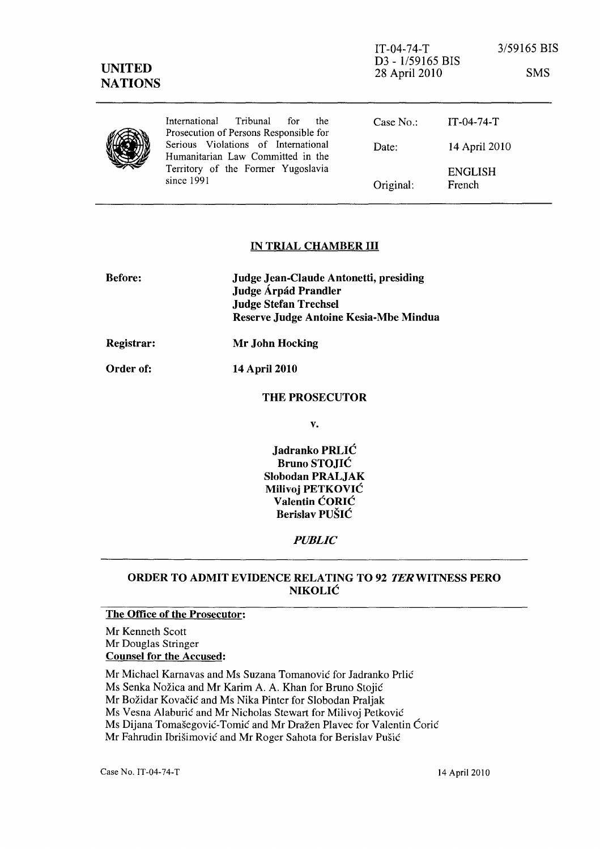| <b>UNITED</b><br><b>NATIONS</b> |                                                                                                                              | $IT-04-74-T$<br>D <sub>3</sub> - 1/59165 BIS<br>28 April 2010 |                          | 3/59165 BIS<br><b>SMS</b> |
|---------------------------------|------------------------------------------------------------------------------------------------------------------------------|---------------------------------------------------------------|--------------------------|---------------------------|
|                                 | <i>International</i><br>Tribunal<br>for<br>the<br>Prosecution of Persons Responsible for                                     | Case No.                                                      | $IT-04-74-T$             |                           |
|                                 | Serious Violations of International<br>Humanitarian Law Committed in the<br>Territory of the Former Yugoslavia<br>since 1991 | Date:                                                         | 14 April 2010            |                           |
|                                 |                                                                                                                              | Original:                                                     | <b>ENGLISH</b><br>French |                           |

## IN TRIAL CHAMBER III

| <b>Before:</b>   | <b>Judge Jean-Claude Antonetti, presiding</b><br>Judge Árpád Prandler<br><b>Judge Stefan Trechsel</b><br>Reserve Judge Antoine Kesia-Mbe Mindua |
|------------------|-------------------------------------------------------------------------------------------------------------------------------------------------|
| Registrar:       | Mr John Hocking                                                                                                                                 |
| <b>Order of:</b> | 14 April 2010                                                                                                                                   |
|                  | <b>THE PROSECUTOR</b>                                                                                                                           |

v.

Jadranko PRLIC Bruno STOJIC SIobodan PRALJAK Milivoj PETKOVIC Valentin CORIC Berislav PUSIC

## *PUBLIC*

## ORDER TO ADMIT EVIDENCE RELATING TO 92 TERWITNESS PERO NIKOLIC

## The Office of the Prosecutor:

Mr Kenneth Scott Mr Douglas Stringer Counsel for the Accused:

Mr Michael Karnavas and Ms Suzana Tomanović for Jadranko Prlić

Ms Senka Nožica and Mr Karim A. A. Khan for Bruno Stojić

Mr Božidar Kovačić and Ms Nika Pinter for Slobodan Praljak

Ms Vesna Alaburić and Mr Nicholas Stewart for Milivoj Petković

Ms Dijana Tomašegović-Tomić and Mr Dražen Plavec for Valentin Ćorić

Mr Fahrudin Ibrisimovic and Mr Roger Sahota for Berislav Pusic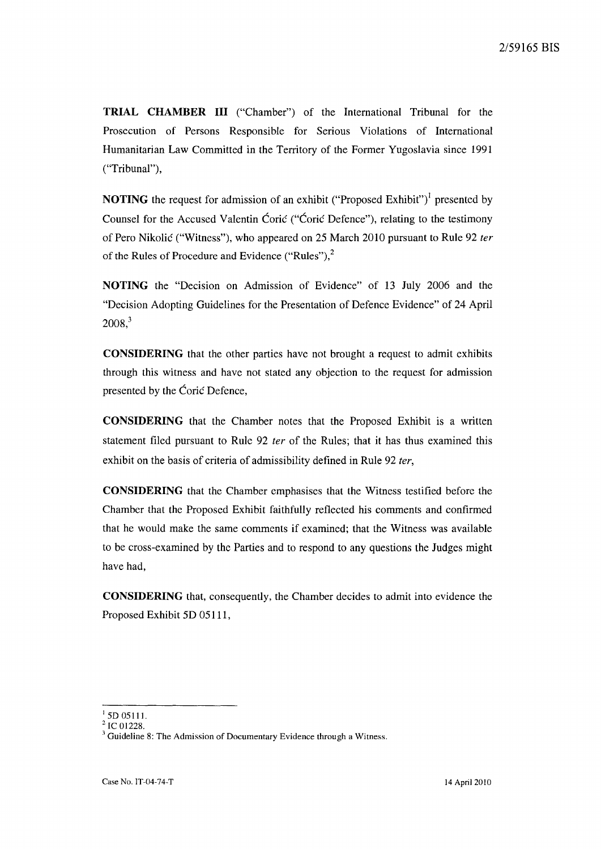**TRIAL CHAMBER III** ("Chamber") of the International Tribunal for the Prosecution of Persons Responsible for Serious Violations of International Humanitarian Law Committed in the Territory of the Former Yugoslavia since 1991 ("Tribunal"),

**NOTING** the request for admission of an exhibit ("Proposed Exhibit")<sup>1</sup> presented by Counsel for the Accused Valentin Ćorić ("Ćorić Defence"), relating to the testimony of Pero Nikolie ("Witness"), who appeared on 25 March 2010 pursuant to Rule 92 fer of the Rules of Procedure and Evidence ("Rules"),<sup>2</sup>

**NOTING** the "Decision on Admission of Evidence" of 13 July 2006 and the "Decision Adopting Guidelines for the Presentation of Defence Evidence" of 24 April  $2008$ <sup>3</sup>

**CONSIDERING** that the other parties have not brought a request to admit exhibits through this witness and have not stated any objection to the request for admission presented by the Coric Defence,

**CONSIDERING** that the Chamber notes that the Proposed Exhibit is a written statement filed pursuant to Rule 92 fer of the Rules; that it has thus examined this exhibit on the basis of criteria of admissibility defined in Rule 92 ter,

**CONSIDERING** that the Chamber emphasises that the Witness testified before the Chamber that the Proposed Exhibit faithfully reflected his comments and confirmed that he would make the same comments if examined; that the Witness was available to be cross-examined by the Parties and to respond to any questions the Judges might have had,

**CONSIDERING** that, consequently, the Chamber decides to admit into evidence the Proposed Exhibit 5D 05111,

 $1$  5D 05111.

 $^2$  IC 01228.

 $3$  Guideline 8: The Admission of Documentary Evidence through a Witness.